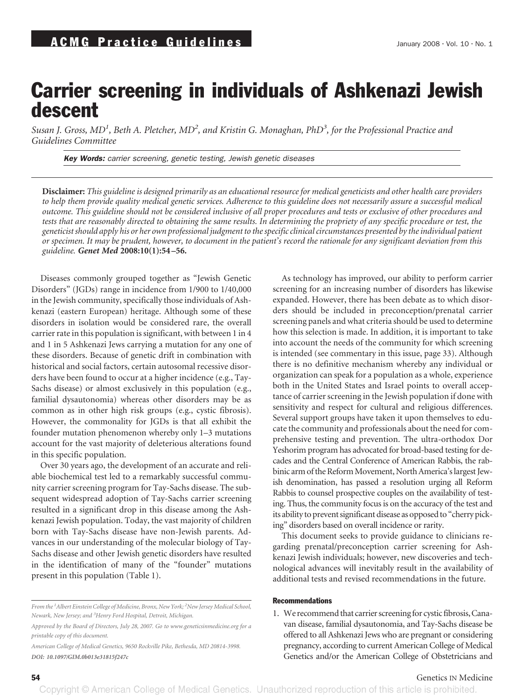*Susan J. Gross, MD1 , Beth A. Pletcher, MD2 , and Kristin G. Monaghan, PhD3 , for the Professional Practice and Guidelines Committee*

*Key Words: carrier screening, genetic testing, Jewish genetic diseases*

**Disclaimer:** *This guideline is designed primarily as an educational resource for medical geneticists and other health care providers to help them provide quality medical genetic services. Adherence to this guideline does not necessarily assure a successful medical outcome. This guideline should not be considered inclusive of all proper procedures and tests or exclusive of other procedures and tests that are reasonably directed to obtaining the same results. In determining the propriety of any specific procedure or test, the geneticist should apply his or her own professional judgment to the specific clinical circumstances presented by the individual patient or specimen. It may be prudent, however, to document in the patient's record the rationale for any significant deviation from this guideline. Genet Med* **2008:10(1):54 –56.**

Diseases commonly grouped together as "Jewish Genetic Disorders" (JGDs) range in incidence from 1/900 to 1/40,000 in the Jewish community, specifically those individuals of Ashkenazi (eastern European) heritage. Although some of these disorders in isolation would be considered rare, the overall carrier rate in this population is significant, with between 1 in 4 and 1 in 5 Ashkenazi Jews carrying a mutation for any one of these disorders. Because of genetic drift in combination with historical and social factors, certain autosomal recessive disorders have been found to occur at a higher incidence (e.g., Tay-Sachs disease) or almost exclusively in this population (e.g., familial dysautonomia) whereas other disorders may be as common as in other high risk groups (e.g., cystic fibrosis). However, the commonality for JGDs is that all exhibit the founder mutation phenomenon whereby only 1–3 mutations account for the vast majority of deleterious alterations found in this specific population.

Over 30 years ago, the development of an accurate and reliable biochemical test led to a remarkably successful community carrier screening program for Tay-Sachs disease. The subsequent widespread adoption of Tay-Sachs carrier screening resulted in a significant drop in this disease among the Ashkenazi Jewish population. Today, the vast majority of children born with Tay-Sachs disease have non-Jewish parents. Advances in our understanding of the molecular biology of Tay-Sachs disease and other Jewish genetic disorders have resulted in the identification of many of the "founder" mutations present in this population (Table 1).

*From the <sup>1</sup> Albert Einstein College of Medicine, Bronx, New York; <sup>2</sup> New Jersey Medical School, Newark, New Jersey; and <sup>3</sup> Henry Ford Hospital, Detroit, Michigan.*

*American College of Medical Genetics, 9650 Rockville Pike, Bethesda, MD 20814-3998. DOI: 10.1097/GIM.0b013e31815f247c*

As technology has improved, our ability to perform carrier screening for an increasing number of disorders has likewise expanded. However, there has been debate as to which disorders should be included in preconception/prenatal carrier screening panels and what criteria should be used to determine how this selection is made. In addition, it is important to take into account the needs of the community for which screening is intended (see commentary in this issue, page 33). Although there is no definitive mechanism whereby any individual or organization can speak for a population as a whole, experience both in the United States and Israel points to overall acceptance of carrier screening in the Jewish population if done with sensitivity and respect for cultural and religious differences. Several support groups have taken it upon themselves to educate the community and professionals about the need for comprehensive testing and prevention. The ultra-orthodox Dor Yeshorim program has advocated for broad-based testing for decades and the Central Conference of American Rabbis, the rabbinic arm of the Reform Movement, North America's largest Jewish denomination, has passed a resolution urging all Reform Rabbis to counsel prospective couples on the availability of testing. Thus, the community focus is on the accuracy of the test and its ability to prevent significant disease as opposed to "cherry picking" disorders based on overall incidence or rarity.

This document seeks to provide guidance to clinicians regarding prenatal/preconception carrier screening for Ashkenazi Jewish individuals; however, new discoveries and technological advances will inevitably result in the availability of additional tests and revised recommendations in the future.

## Recommendations

1. We recommend that carrier screening for cystic fibrosis, Canavan disease, familial dysautonomia, and Tay-Sachs disease be offered to all Ashkenazi Jews who are pregnant or considering pregnancy, according to current American College of Medical Genetics and/or the American College of Obstetricians and

*Approved by the Board of Directors, July 28, 2007. Go to www.geneticsinmedicine.org for a printable copy of this document.*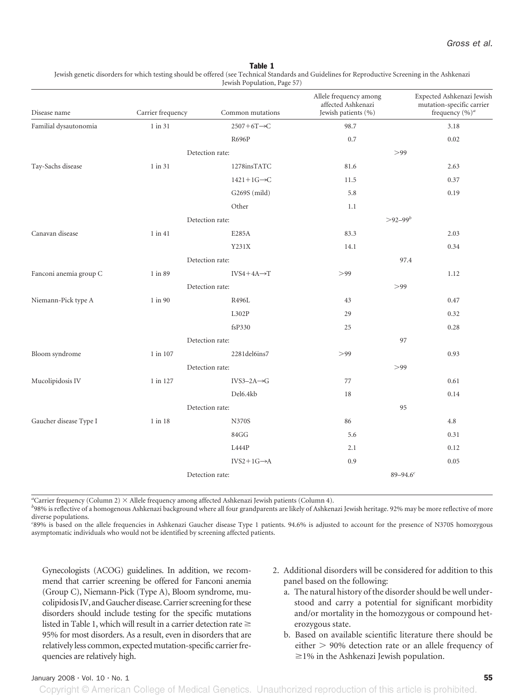## Table 1

Jewish genetic disorders for which testing should be offered (see Technical Standards and Guidelines for Reproductive Screening in the Ashkenazi Jewish Population, Page 57)

| Disease name           | Carrier frequency | Common mutations        | Allele frequency among<br>affected Ashkenazi<br>Jewish patients (%) | Expected Ashkenazi Jewish<br>mutation-specific carrier<br>frequency $(\%)^a$ |  |
|------------------------|-------------------|-------------------------|---------------------------------------------------------------------|------------------------------------------------------------------------------|--|
| Familial dysautonomia  | 1 in 31           | $2507+6T\rightarrow C$  | 98.7                                                                | 3.18                                                                         |  |
|                        |                   | <b>R696P</b>            | 0.7                                                                 | 0.02                                                                         |  |
|                        |                   | Detection rate:         |                                                                     | >99                                                                          |  |
| Tay-Sachs disease      | 1 in 31           | 1278insTATC             | 81.6                                                                | 2.63                                                                         |  |
|                        |                   | $1421+1G\rightarrow C$  | 11.5                                                                | 0.37                                                                         |  |
|                        |                   | G269S (mild)            | 5.8                                                                 | 0.19                                                                         |  |
|                        |                   | Other                   | 1.1                                                                 |                                                                              |  |
|                        | Detection rate:   |                         | $>92 - 99^b$                                                        |                                                                              |  |
| Canavan disease        | $1$ in $41$       | E285A                   | 83.3                                                                | 2.03                                                                         |  |
|                        |                   | Y231X                   | 14.1                                                                | 0.34                                                                         |  |
|                        | Detection rate:   |                         | 97.4                                                                |                                                                              |  |
| Fanconi anemia group C | 1 in 89           | $IVS4+4A \rightarrow T$ | >99                                                                 | 1.12                                                                         |  |
|                        | Detection rate:   |                         | >99                                                                 |                                                                              |  |
| Niemann-Pick type A    | 1 in 90           | R496L                   | 43                                                                  | 0.47                                                                         |  |
|                        |                   | L302P                   | 29                                                                  | 0.32                                                                         |  |
|                        |                   | fsP330                  | 25                                                                  | 0.28                                                                         |  |
|                        | Detection rate:   |                         | 97                                                                  |                                                                              |  |
| Bloom syndrome         | 1 in 107          | 2281del6ins7            | >99                                                                 | 0.93                                                                         |  |
|                        |                   | Detection rate:         | >99                                                                 |                                                                              |  |
| Mucolipidosis IV       | 1 in 127          | $IVS3-2A\rightarrow G$  | 77                                                                  | 0.61                                                                         |  |
|                        |                   | Del6.4kb                | 18                                                                  | 0.14                                                                         |  |
|                        | Detection rate:   |                         | 95                                                                  |                                                                              |  |
| Gaucher disease Type I | $1$ in $18$       | N370S                   | 86                                                                  | 4.8                                                                          |  |
|                        |                   | 84GG                    | 5.6                                                                 | 0.31                                                                         |  |
|                        |                   | L444P                   | 2.1                                                                 | 0.12                                                                         |  |
|                        |                   | $IVS2+1G \rightarrow A$ | 0.9                                                                 | 0.05                                                                         |  |
|                        |                   | Detection rate:         |                                                                     | $89 - 94.6$                                                                  |  |

<sup>*a*</sup>Carrier frequency (Column 2)  $\times$  Allele frequency among affected Ashkenazi Jewish patients (Column 4). *b*<sub>08%</sub> is reflective of a bomogenous Ashkenazi background where all four grandparents are likely of Ashken

 $^{b}$ 98% is reflective of a homogenous Ashkenazi background where all four grandparents are likely of Ashkenazi Jewish heritage. 92% may be more reflective of more diverse populations.

*c* 89% is based on the allele frequencies in Ashkenazi Gaucher disease Type 1 patients. 94.6% is adjusted to account for the presence of N370S homozygous asymptomatic individuals who would not be identified by screening affected patients.

Gynecologists (ACOG) guidelines. In addition, we recommend that carrier screening be offered for Fanconi anemia (Group C), Niemann-Pick (Type A), Bloom syndrome, mucolipidosis IV, and Gaucher disease. Carrier screening for these disorders should include testing for the specific mutations listed in Table 1, which will result in a carrier detection rate  $\geq$ 95% for most disorders. As a result, even in disorders that are relatively less common, expected mutation-specific carrier frequencies are relatively high.

- 2. Additional disorders will be considered for addition to this panel based on the following:
	- a. The natural history of the disorder should be well understood and carry a potential for significant morbidity and/or mortality in the homozygous or compound heterozygous state.
	- b. Based on available scientific literature there should be either  $> 90\%$  detection rate or an allele frequency of  $\geq$ 1% in the Ashkenazi Jewish population.

# January 2008  $\cdot$  Vol. 10  $\cdot$  No. 1 55

Copyright © American College of Medical Genetics. Unauthorized reproduction of this article is prohibited.